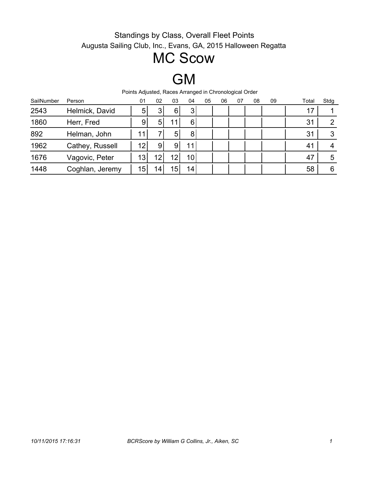# MC Scow

# GM

| SailNumber | Person          | 01              | 02  | 03 | 04              | 05 | 06 | 07 | 08 | 09 | Total | Stdg |
|------------|-----------------|-----------------|-----|----|-----------------|----|----|----|----|----|-------|------|
| 2543       | Helmick, David  | 5               | 3   | 6  | 3 <sub>l</sub>  |    |    |    |    |    | 17    |      |
| 1860       | Herr, Fred      | 9               | 5   |    | 6               |    |    |    |    |    | 31    | 2    |
| 892        | Helman, John    | 11              |     | 5  | 8               |    |    |    |    |    | 31    | 3    |
| 1962       | Cathey, Russell | 12              | 9   | 9  | 11              |    |    |    |    |    | 41    | 4    |
| 1676       | Vagovic, Peter  | 13              | 12  | 12 | 10 <sup>1</sup> |    |    |    |    |    | 47    | 5    |
| 1448       | Coghlan, Jeremy | 15 <sub>1</sub> | 14. | 15 | 14 <sub>1</sub> |    |    |    |    |    | 58    | 6    |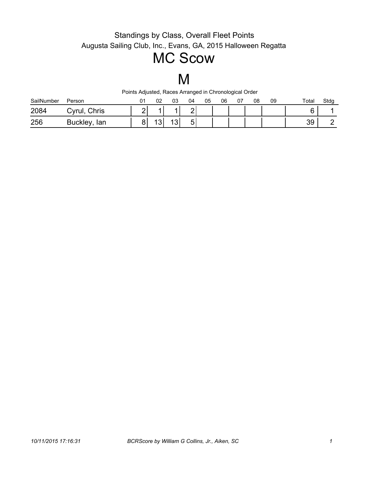# MC Scow

# M

| SailNumber | Person                | 01 | 02        | 03           | 04          | 05 | 06 | U7 | 08 | 09 | Total | Stdg |
|------------|-----------------------|----|-----------|--------------|-------------|----|----|----|----|----|-------|------|
| 2084       | Chris<br>∵vrul,       |    |           |              | ⌒<br>▃      |    |    |    |    |    |       |      |
| 256        | <b>Buckley</b><br>lan |    | -10'<br>ິ | $\sim$<br>ັບ | -<br>h<br>ັ |    |    |    |    |    | 39    |      |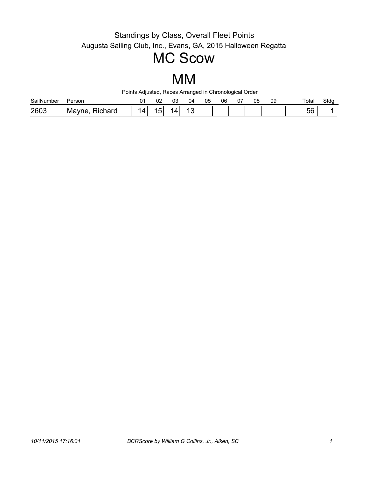## MC Scow

### MM

| SailNumber | Person               | ∩۴<br>◡∠ | UJ | 4۱، | 05 | 06 | $\sim$ $-$<br>J۱ | 08 | 09 | Total | Stdg |
|------------|----------------------|----------|----|-----|----|----|------------------|----|----|-------|------|
| 2603       | :hard<br>- IVIc<br>v | ັ        |    | ັ   |    |    |                  |    |    | 56    |      |